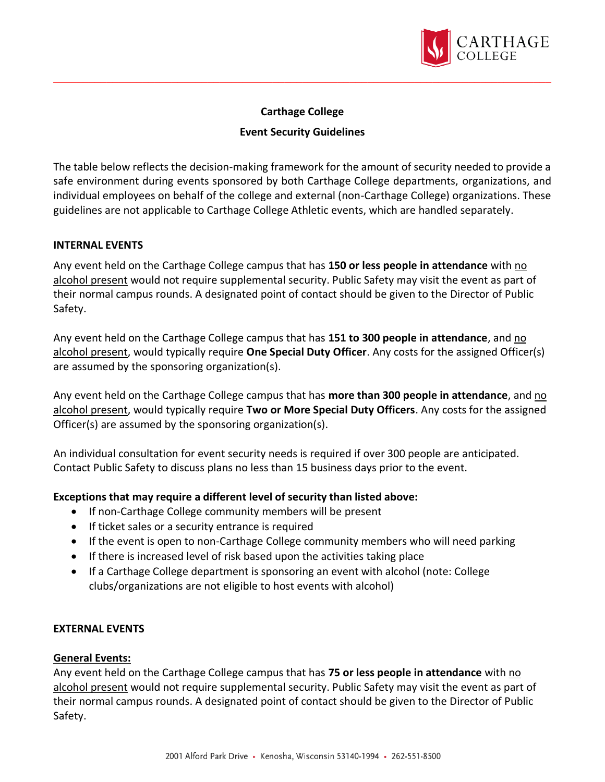

# **Carthage College**

## **Event Security Guidelines**

The table below reflects the decision-making framework for the amount of security needed to provide a safe environment during events sponsored by both Carthage College departments, organizations, and individual employees on behalf of the college and external (non-Carthage College) organizations. These guidelines are not applicable to Carthage College Athletic events, which are handled separately.

## **INTERNAL EVENTS**

Any event held on the Carthage College campus that has **150 or less people in attendance** with no alcohol present would not require supplemental security. Public Safety may visit the event as part of their normal campus rounds. A designated point of contact should be given to the Director of Public Safety.

Any event held on the Carthage College campus that has **151 to 300 people in attendance**, and no alcohol present, would typically require **One Special Duty Officer**. Any costs for the assigned Officer(s) are assumed by the sponsoring organization(s).

Any event held on the Carthage College campus that has **more than 300 people in attendance**, and no alcohol present, would typically require **Two or More Special Duty Officers**. Any costs for the assigned Officer(s) are assumed by the sponsoring organization(s).

An individual consultation for event security needs is required if over 300 people are anticipated. Contact Public Safety to discuss plans no less than 15 business days prior to the event.

# **Exceptions that may require a different level of security than listed above:**

- If non-Carthage College community members will be present
- If ticket sales or a security entrance is required
- If the event is open to non-Carthage College community members who will need parking
- If there is increased level of risk based upon the activities taking place
- If a Carthage College department is sponsoring an event with alcohol (note: College clubs/organizations are not eligible to host events with alcohol)

#### **EXTERNAL EVENTS**

#### **General Events:**

Any event held on the Carthage College campus that has **75 or less people in attendance** with no alcohol present would not require supplemental security. Public Safety may visit the event as part of their normal campus rounds. A designated point of contact should be given to the Director of Public Safety.